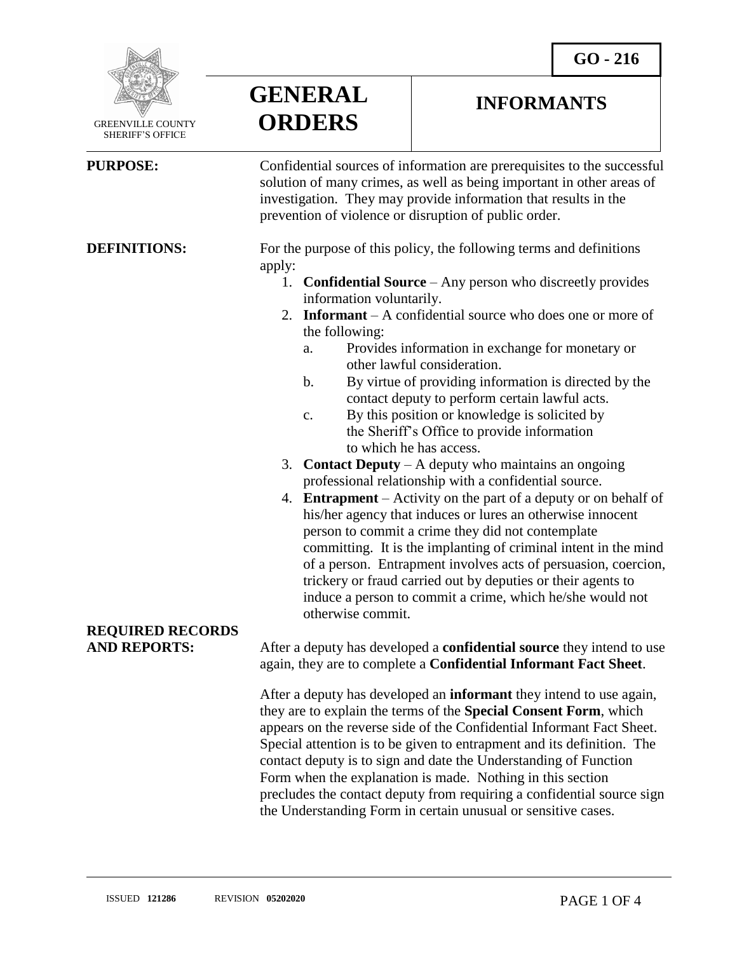**INFORMANTS**



**GENERAL**

**ORDERS**

 GREENVILLE COUNTY SHERIFF'S OFFICE

 $\overline{a}$ 

**PURPOSE:** Confidential sources of information are prerequisites to the successful solution of many crimes, as well as being important in other areas of investigation. They may provide information that results in the prevention of violence or disruption of public order.

**DEFINITIONS:** For the purpose of this policy, the following terms and definitions apply:

- 1. **Confidential Source** Any person who discreetly provides information voluntarily.
- 2. **Informant** A confidential source who does one or more of the following:
	- a. Provides information in exchange for monetary or other lawful consideration.
	- b. By virtue of providing information is directed by the contact deputy to perform certain lawful acts.
	- c. By this position or knowledge is solicited by the Sheriff's Office to provide information to which he has access.
- 3. **Contact Deputy** A deputy who maintains an ongoing professional relationship with a confidential source.
- 4. **Entrapment**  Activity on the part of a deputy or on behalf of his/her agency that induces or lures an otherwise innocent person to commit a crime they did not contemplate committing. It is the implanting of criminal intent in the mind of a person. Entrapment involves acts of persuasion, coercion, trickery or fraud carried out by deputies or their agents to induce a person to commit a crime, which he/she would not otherwise commit.

## **REQUIRED RECORDS**

**AND REPORTS:** After a deputy has developed a **confidential source** they intend to use again, they are to complete a **Confidential Informant Fact Sheet**.

> After a deputy has developed an **informant** they intend to use again, they are to explain the terms of the **Special Consent Form**, which appears on the reverse side of the Confidential Informant Fact Sheet. Special attention is to be given to entrapment and its definition. The contact deputy is to sign and date the Understanding of Function Form when the explanation is made. Nothing in this section precludes the contact deputy from requiring a confidential source sign the Understanding Form in certain unusual or sensitive cases.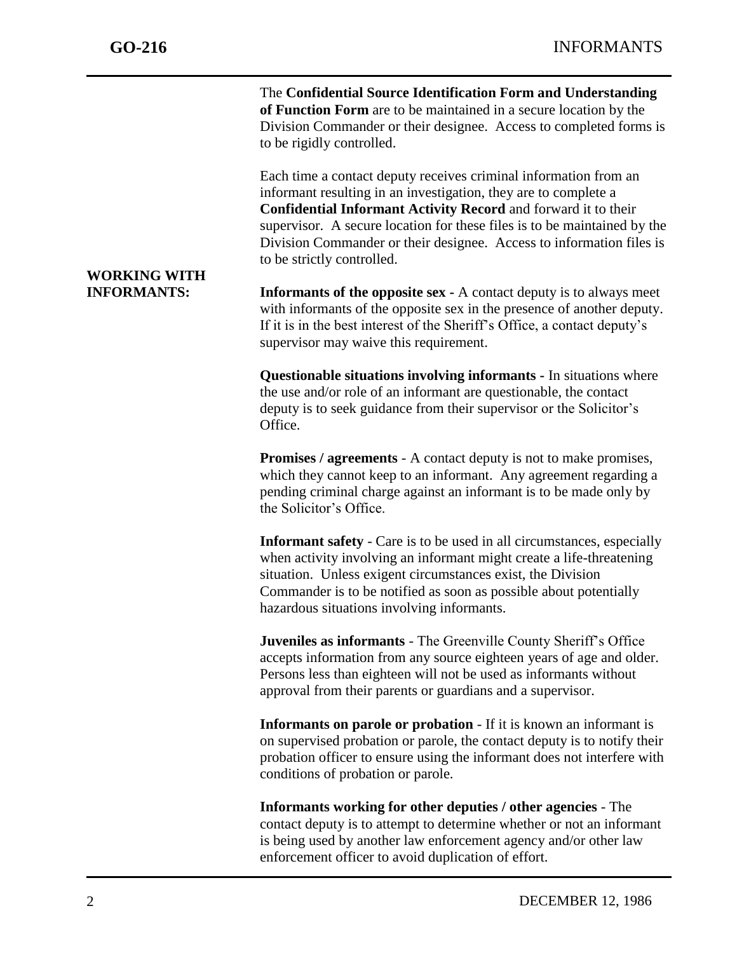**WORKING WITH** 

j

The **Confidential Source Identification Form and Understanding of Function Form** are to be maintained in a secure location by the Division Commander or their designee. Access to completed forms is to be rigidly controlled.

Each time a contact deputy receives criminal information from an informant resulting in an investigation, they are to complete a **Confidential Informant Activity Record** and forward it to their supervisor. A secure location for these files is to be maintained by the Division Commander or their designee. Access to information files is to be strictly controlled.

**INFORMANTS: Informants of the opposite sex -** A contact deputy is to always meet with informants of the opposite sex in the presence of another deputy. If it is in the best interest of the Sheriff's Office, a contact deputy's supervisor may waive this requirement.

> **Questionable situations involving informants -** In situations where the use and/or role of an informant are questionable, the contact deputy is to seek guidance from their supervisor or the Solicitor's Office.

> **Promises / agreements** - A contact deputy is not to make promises, which they cannot keep to an informant. Any agreement regarding a pending criminal charge against an informant is to be made only by the Solicitor's Office.

> **Informant safety** - Care is to be used in all circumstances, especially when activity involving an informant might create a life-threatening situation. Unless exigent circumstances exist, the Division Commander is to be notified as soon as possible about potentially hazardous situations involving informants.

> **Juveniles as informants** - The Greenville County Sheriff's Office accepts information from any source eighteen years of age and older. Persons less than eighteen will not be used as informants without approval from their parents or guardians and a supervisor.

**Informants on parole or probation** - If it is known an informant is on supervised probation or parole, the contact deputy is to notify their probation officer to ensure using the informant does not interfere with conditions of probation or parole.

**Informants working for other deputies / other agencies** - The contact deputy is to attempt to determine whether or not an informant is being used by another law enforcement agency and/or other law enforcement officer to avoid duplication of effort.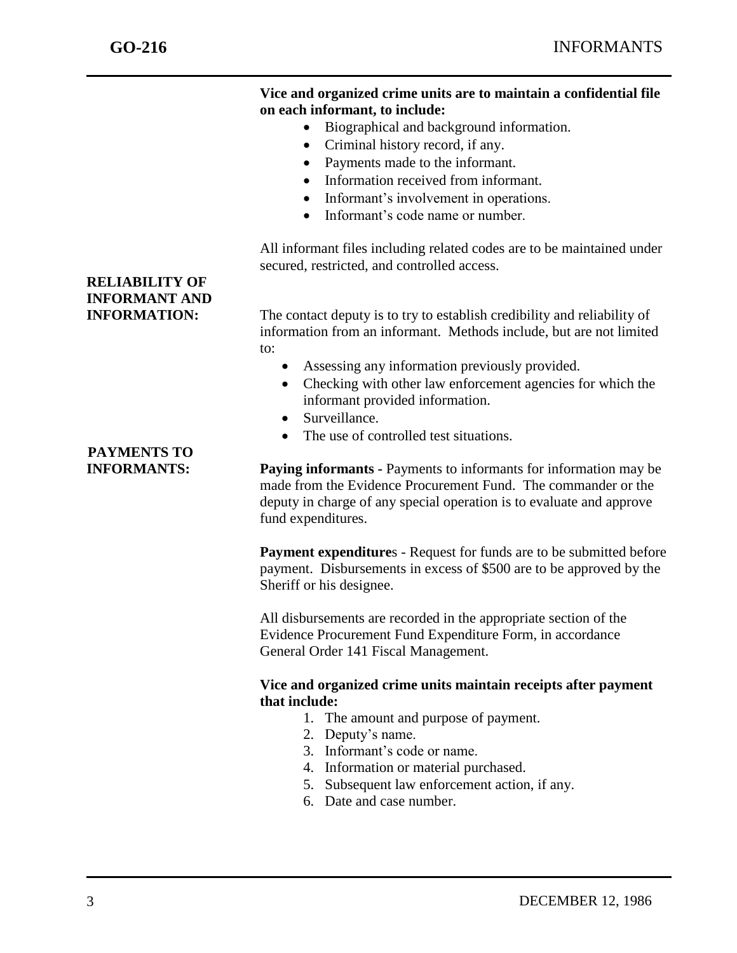j

#### **Vice and organized crime units are to maintain a confidential file on each informant, to include:**

- Biographical and background information.
- Criminal history record, if any.
- Payments made to the informant.
- Information received from informant.
- Informant's involvement in operations.
- Informant's code name or number.

All informant files including related codes are to be maintained under secured, restricted, and controlled access.

**INFORMATION:** The contact deputy is to try to establish credibility and reliability of information from an informant. Methods include, but are not limited to:

- Assessing any information previously provided.
- Checking with other law enforcement agencies for which the informant provided information.
- Surveillance.
- The use of controlled test situations.

**INFORMANTS: Paying informants -** Payments to informants for information may be made from the Evidence Procurement Fund. The commander or the deputy in charge of any special operation is to evaluate and approve fund expenditures.

> **Payment expenditures** - Request for funds are to be submitted before payment. Disbursements in excess of \$500 are to be approved by the Sheriff or his designee.

All disbursements are recorded in the appropriate section of the Evidence Procurement Fund Expenditure Form, in accordance General Order 141 Fiscal Management.

### **Vice and organized crime units maintain receipts after payment that include:**

- 1. The amount and purpose of payment.
- 2. Deputy's name.
- 3. Informant's code or name.
- 4. Information or material purchased.
- 5. Subsequent law enforcement action, if any.
- 6. Date and case number.

# **RELIABILITY OF INFORMANT AND**

# **PAYMENTS TO**